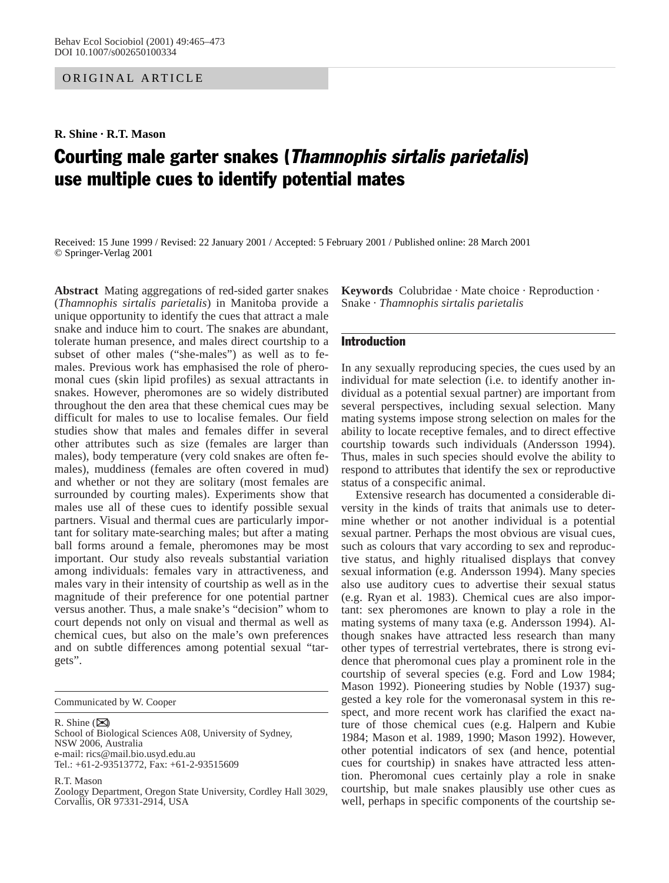## ORIGINAL ARTICLE

# **R. Shine · R.T. Mason**

# Courting male garter snakes (Thamnophis sirtalis parietalis) use multiple cues to identify potential mates

Received: 15 June 1999 / Revised: 22 January 2001 / Accepted: 5 February 2001 / Published online: 28 March 2001 © Springer-Verlag 2001

**Abstract** Mating aggregations of red-sided garter snakes (*Thamnophis sirtalis parietalis*) in Manitoba provide a unique opportunity to identify the cues that attract a male snake and induce him to court. The snakes are abundant, tolerate human presence, and males direct courtship to a subset of other males ("she-males") as well as to females. Previous work has emphasised the role of pheromonal cues (skin lipid profiles) as sexual attractants in snakes. However, pheromones are so widely distributed throughout the den area that these chemical cues may be difficult for males to use to localise females. Our field studies show that males and females differ in several other attributes such as size (females are larger than males), body temperature (very cold snakes are often females), muddiness (females are often covered in mud) and whether or not they are solitary (most females are surrounded by courting males). Experiments show that males use all of these cues to identify possible sexual partners. Visual and thermal cues are particularly important for solitary mate-searching males; but after a mating ball forms around a female, pheromones may be most important. Our study also reveals substantial variation among individuals: females vary in attractiveness, and males vary in their intensity of courtship as well as in the magnitude of their preference for one potential partner versus another. Thus, a male snake's "decision" whom to court depends not only on visual and thermal as well as chemical cues, but also on the male's own preferences and on subtle differences among potential sexual "targets".

Communicated by W. Cooper

R. Shine  $(\mathbb{Z})$ School of Biological Sciences A08, University of Sydney, NSW 2006, Australia e-mail: rics@mail.bio.usyd.edu.au Tel.: +61-2-93513772, Fax: +61-2-93515609

R.T. Mason

Zoology Department, Oregon State University, Cordley Hall 3029, Corvallis, OR 97331-2914, USA

**Keywords** Colubridae · Mate choice · Reproduction · Snake · *Thamnophis sirtalis parietalis*

# Introduction

In any sexually reproducing species, the cues used by an individual for mate selection (i.e. to identify another individual as a potential sexual partner) are important from several perspectives, including sexual selection. Many mating systems impose strong selection on males for the ability to locate receptive females, and to direct effective courtship towards such individuals (Andersson 1994). Thus, males in such species should evolve the ability to respond to attributes that identify the sex or reproductive status of a conspecific animal.

Extensive research has documented a considerable diversity in the kinds of traits that animals use to determine whether or not another individual is a potential sexual partner. Perhaps the most obvious are visual cues, such as colours that vary according to sex and reproductive status, and highly ritualised displays that convey sexual information (e.g. Andersson 1994). Many species also use auditory cues to advertise their sexual status (e.g. Ryan et al. 1983). Chemical cues are also important: sex pheromones are known to play a role in the mating systems of many taxa (e.g. Andersson 1994). Although snakes have attracted less research than many other types of terrestrial vertebrates, there is strong evidence that pheromonal cues play a prominent role in the courtship of several species (e.g. Ford and Low 1984; Mason 1992). Pioneering studies by Noble (1937) suggested a key role for the vomeronasal system in this respect, and more recent work has clarified the exact nature of those chemical cues (e.g. Halpern and Kubie 1984; Mason et al. 1989, 1990; Mason 1992). However, other potential indicators of sex (and hence, potential cues for courtship) in snakes have attracted less attention. Pheromonal cues certainly play a role in snake courtship, but male snakes plausibly use other cues as well, perhaps in specific components of the courtship se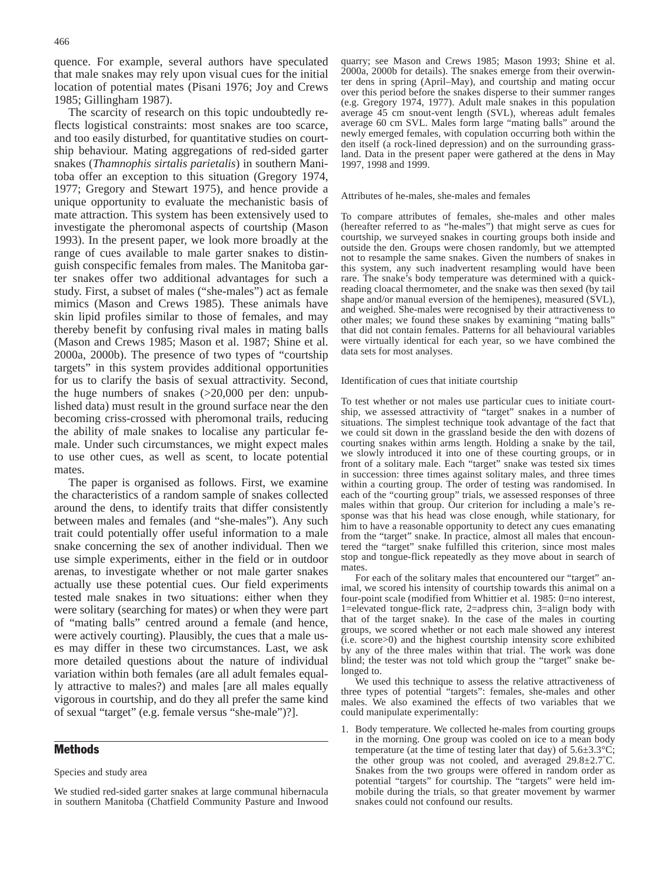quence. For example, several authors have speculated that male snakes may rely upon visual cues for the initial location of potential mates (Pisani 1976; Joy and Crews 1985; Gillingham 1987).

The scarcity of research on this topic undoubtedly reflects logistical constraints: most snakes are too scarce, and too easily disturbed, for quantitative studies on courtship behaviour. Mating aggregations of red-sided garter snakes (*Thamnophis sirtalis parietalis*) in southern Manitoba offer an exception to this situation (Gregory 1974, 1977; Gregory and Stewart 1975), and hence provide a unique opportunity to evaluate the mechanistic basis of mate attraction. This system has been extensively used to investigate the pheromonal aspects of courtship (Mason 1993). In the present paper, we look more broadly at the range of cues available to male garter snakes to distinguish conspecific females from males. The Manitoba garter snakes offer two additional advantages for such a study. First, a subset of males ("she-males") act as female mimics (Mason and Crews 1985). These animals have skin lipid profiles similar to those of females, and may thereby benefit by confusing rival males in mating balls (Mason and Crews 1985; Mason et al. 1987; Shine et al. 2000a, 2000b). The presence of two types of "courtship targets" in this system provides additional opportunities for us to clarify the basis of sexual attractivity. Second, the huge numbers of snakes (>20,000 per den: unpublished data) must result in the ground surface near the den becoming criss-crossed with pheromonal trails, reducing the ability of male snakes to localise any particular female. Under such circumstances, we might expect males to use other cues, as well as scent, to locate potential mates.

The paper is organised as follows. First, we examine the characteristics of a random sample of snakes collected around the dens, to identify traits that differ consistently between males and females (and "she-males"). Any such trait could potentially offer useful information to a male snake concerning the sex of another individual. Then we use simple experiments, either in the field or in outdoor arenas, to investigate whether or not male garter snakes actually use these potential cues. Our field experiments tested male snakes in two situations: either when they were solitary (searching for mates) or when they were part of "mating balls" centred around a female (and hence, were actively courting). Plausibly, the cues that a male uses may differ in these two circumstances. Last, we ask more detailed questions about the nature of individual variation within both females (are all adult females equally attractive to males?) and males [are all males equally vigorous in courtship, and do they all prefer the same kind of sexual "target" (e.g. female versus "she-male")?].

# Methods

Species and study area

quarry; see Mason and Crews 1985; Mason 1993; Shine et al. 2000a, 2000b for details). The snakes emerge from their overwinter dens in spring (April–May), and courtship and mating occur over this period before the snakes disperse to their summer ranges (e.g. Gregory 1974, 1977). Adult male snakes in this population average 45 cm snout-vent length (SVL), whereas adult females average 60 cm SVL. Males form large "mating balls" around the newly emerged females, with copulation occurring both within the den itself (a rock-lined depression) and on the surrounding grassland. Data in the present paper were gathered at the dens in May 1997, 1998 and 1999.

#### Attributes of he-males, she-males and females

To compare attributes of females, she-males and other males (hereafter referred to as "he-males") that might serve as cues for courtship, we surveyed snakes in courting groups both inside and outside the den. Groups were chosen randomly, but we attempted not to resample the same snakes. Given the numbers of snakes in this system, any such inadvertent resampling would have been rare. The snake's body temperature was determined with a quickreading cloacal thermometer, and the snake was then sexed (by tail shape and/or manual eversion of the hemipenes), measured (SVL), and weighed. She-males were recognised by their attractiveness to other males; we found these snakes by examining "mating balls" that did not contain females. Patterns for all behavioural variables were virtually identical for each year, so we have combined the data sets for most analyses.

#### Identification of cues that initiate courtship

To test whether or not males use particular cues to initiate courtship, we assessed attractivity of "target" snakes in a number of situations. The simplest technique took advantage of the fact that we could sit down in the grassland beside the den with dozens of courting snakes within arms length. Holding a snake by the tail, we slowly introduced it into one of these courting groups, or in front of a solitary male. Each "target" snake was tested six times in succession: three times against solitary males, and three times within a courting group. The order of testing was randomised. In each of the "courting group" trials, we assessed responses of three males within that group. Our criterion for including a male's response was that his head was close enough, while stationary, for him to have a reasonable opportunity to detect any cues emanating from the "target" snake. In practice, almost all males that encountered the "target" snake fulfilled this criterion, since most males stop and tongue-flick repeatedly as they move about in search of mates.

For each of the solitary males that encountered our "target" animal, we scored his intensity of courtship towards this animal on a four-point scale (modified from Whittier et al. 1985: 0=no interest, 1=elevated tongue-flick rate, 2=adpress chin, 3=align body with that of the target snake). In the case of the males in courting groups, we scored whether or not each male showed any interest (i.e. score>0) and the highest courtship intensity score exhibited by any of the three males within that trial. The work was done blind; the tester was not told which group the "target" snake belonged to.

We used this technique to assess the relative attractiveness of three types of potential "targets": females, she-males and other males. We also examined the effects of two variables that we could manipulate experimentally:

1. Body temperature. We collected he-males from courting groups in the morning. One group was cooled on ice to a mean body temperature (at the time of testing later that day) of  $5.6\pm3.3^{\circ}\text{C}$ ; the other group was not cooled, and averaged 29.8±2.7°C. Snakes from the two groups were offered in random order as potential "targets" for courtship. The "targets" were held immobile during the trials, so that greater movement by warmer snakes could not confound our results.

We studied red-sided garter snakes at large communal hibernacula in southern Manitoba (Chatfield Community Pasture and Inwood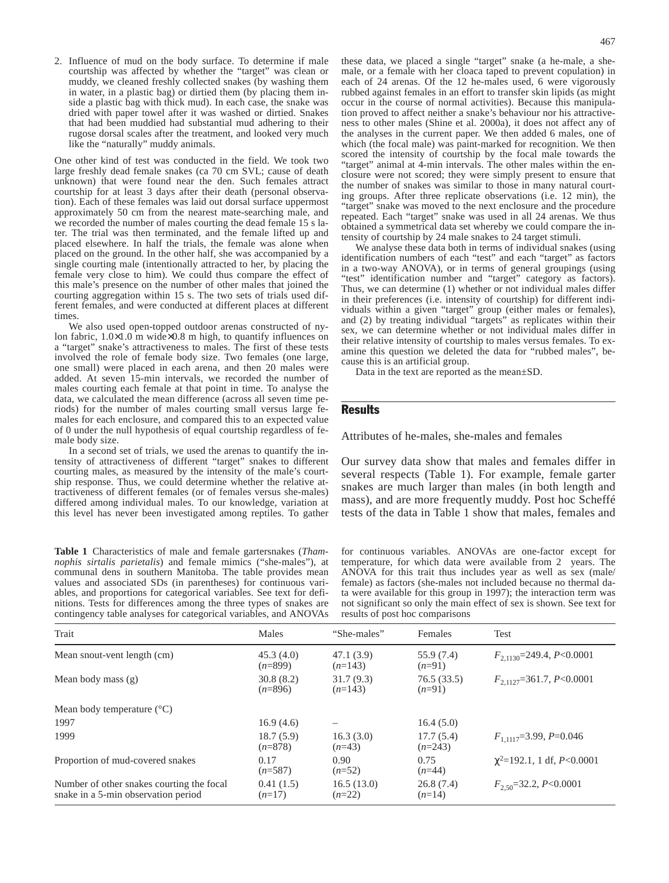2. Influence of mud on the body surface. To determine if male courtship was affected by whether the "target" was clean or muddy, we cleaned freshly collected snakes (by washing them in water, in a plastic bag) or dirtied them (by placing them inside a plastic bag with thick mud). In each case, the snake was dried with paper towel after it was washed or dirtied. Snakes that had been muddied had substantial mud adhering to their rugose dorsal scales after the treatment, and looked very much like the "naturally" muddy animals.

One other kind of test was conducted in the field. We took two large freshly dead female snakes (ca 70 cm SVL; cause of death unknown) that were found near the den. Such females attract courtship for at least 3 days after their death (personal observation). Each of these females was laid out dorsal surface uppermost approximately 50 cm from the nearest mate-searching male, and we recorded the number of males courting the dead female 15 s later. The trial was then terminated, and the female lifted up and placed elsewhere. In half the trials, the female was alone when placed on the ground. In the other half, she was accompanied by a single courting male (intentionally attracted to her, by placing the female very close to him). We could thus compare the effect of this male's presence on the number of other males that joined the courting aggregation within 15 s. The two sets of trials used different females, and were conducted at different places at different times

We also used open-topped outdoor arenas constructed of nylon fabric, 1.0×1.0 m wide×0.8 m high, to quantify influences on a "target" snake's attractiveness to males. The first of these tests involved the role of female body size. Two females (one large, one small) were placed in each arena, and then 20 males were added. At seven 15-min intervals, we recorded the number of males courting each female at that point in time. To analyse the data, we calculated the mean difference (across all seven time periods) for the number of males courting small versus large females for each enclosure, and compared this to an expected value of 0 under the null hypothesis of equal courtship regardless of female body size.

In a second set of trials, we used the arenas to quantify the intensity of attractiveness of different "target" snakes to different courting males, as measured by the intensity of the male's courtship response. Thus, we could determine whether the relative attractiveness of different females (or of females versus she-males) differed among individual males. To our knowledge, variation at this level has never been investigated among reptiles. To gather

**Table 1** Characteristics of male and female gartersnakes (*Thamnophis sirtalis parietalis*) and female mimics ("she-males"), at communal dens in southern Manitoba. The table provides mean values and associated SDs (in parentheses) for continuous variables, and proportions for categorical variables. See text for definitions. Tests for differences among the three types of snakes are contingency table analyses for categorical variables, and ANOVAs these data, we placed a single "target" snake (a he-male, a shemale, or a female with her cloaca taped to prevent copulation) in each of 24 arenas. Of the 12 he-males used, 6 were vigorously rubbed against females in an effort to transfer skin lipids (as might occur in the course of normal activities). Because this manipulation proved to affect neither a snake's behaviour nor his attractiveness to other males (Shine et al. 2000a), it does not affect any of the analyses in the current paper. We then added 6 males, one of which (the focal male) was paint-marked for recognition. We then scored the intensity of courtship by the focal male towards the "target" animal at 4-min intervals. The other males within the enclosure were not scored; they were simply present to ensure that the number of snakes was similar to those in many natural courting groups. After three replicate observations (i.e. 12 min), the "target" snake was moved to the next enclosure and the procedure repeated. Each "target" snake was used in all 24 arenas. We thus obtained a symmetrical data set whereby we could compare the intensity of courtship by 24 male snakes to 24 target stimuli.

We analyse these data both in terms of individual snakes (using identification numbers of each "test" and each "target" as factors in a two-way ANOVA), or in terms of general groupings (using "test" identification number and "target" category as factors). Thus, we can determine (1) whether or not individual males differ in their preferences (i.e. intensity of courtship) for different individuals within a given "target" group (either males or females), and (2) by treating individual "targets" as replicates within their sex, we can determine whether or not individual males differ in their relative intensity of courtship to males versus females. To examine this question we deleted the data for "rubbed males", because this is an artificial group.

Data in the text are reported as the mean±SD.

## **Results**

Attributes of he-males, she-males and females

Our survey data show that males and females differ in several respects (Table 1). For example, female garter snakes are much larger than males (in both length and mass), and are more frequently muddy. Post hoc Scheffé tests of the data in Table 1 show that males, females and

for continuous variables. ANOVAs are one-factor except for temperature, for which data were available from 2 years. The ANOVA for this trait thus includes year as well as sex (male/ female) as factors (she-males not included because no thermal data were available for this group in 1997); the interaction term was not significant so only the main effect of sex is shown. See text for results of post hoc comparisons

| Trait                                                                            | Males                  | "She-males"            | Females                | Test                             |
|----------------------------------------------------------------------------------|------------------------|------------------------|------------------------|----------------------------------|
| Mean snout-vent length (cm)                                                      | 45.3(4.0)<br>$(n=899)$ | 47.1(3.9)<br>$(n=143)$ | 55.9 (7.4)<br>$(n=91)$ | $F_{2,1130}$ =249.4, P<0.0001    |
| Mean body mass $(g)$                                                             | 30.8(8.2)<br>$(n=896)$ | 31.7(9.3)<br>$(n=143)$ | 76.5(33.5)<br>$(n=91)$ | $F_{2.1127} = 361.7, P < 0.0001$ |
| Mean body temperature $(^{\circ}C)$                                              |                        |                        |                        |                                  |
| 1997                                                                             | 16.9(4.6)              | $\qquad \qquad$        | 16.4(5.0)              |                                  |
| 1999                                                                             | 18.7(5.9)<br>$(n=878)$ | 16.3(3.0)<br>$(n=43)$  | 17.7(5.4)<br>$(n=243)$ | $F_{1,1117} = 3.99, P = 0.046$   |
| Proportion of mud-covered snakes                                                 | 0.17<br>$(n=587)$      | 0.90<br>$(n=52)$       | 0.75<br>$(n=44)$       | $\chi^2$ =192.1, 1 df, P<0.0001  |
| Number of other snakes courting the focal<br>snake in a 5-min observation period | 0.41(1.5)<br>$(n=17)$  | 16.5(13.0)<br>$(n=22)$ | 26.8(7.4)<br>$(n=14)$  | $F_{2.50} = 32.2, P < 0.0001$    |
|                                                                                  |                        |                        |                        |                                  |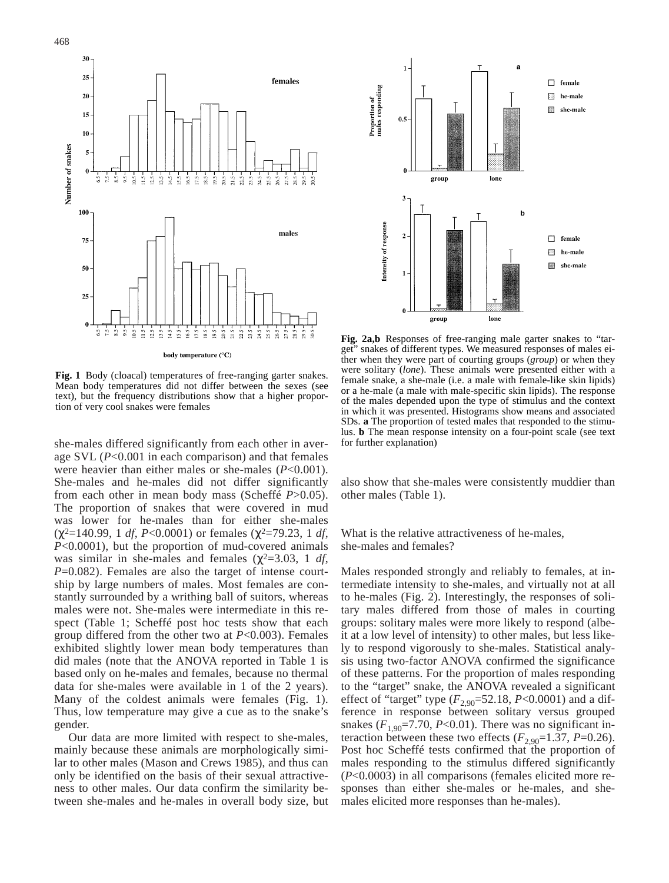

**Fig. 1** Body (cloacal) temperatures of free-ranging garter snakes. Mean body temperatures did not differ between the sexes (see text), but the frequency distributions show that a higher proportion of very cool snakes were females

she-males differed significantly from each other in average SVL (*P*<0.001 in each comparison) and that females were heavier than either males or she-males (*P*<0.001). She-males and he-males did not differ significantly from each other in mean body mass (Scheffé *P*>0.05). The proportion of snakes that were covered in mud was lower for he-males than for either she-males  $(χ²=140.99, 1 df, P<0.0001)$  or females  $(χ²=79.23, 1 df,$ *P*<0.0001), but the proportion of mud-covered animals was similar in she-males and females ( $\chi^2$ =3.03, 1 *df*, *P*=0.082). Females are also the target of intense courtship by large numbers of males. Most females are constantly surrounded by a writhing ball of suitors, whereas males were not. She-males were intermediate in this respect (Table 1; Scheffé post hoc tests show that each group differed from the other two at *P*<0.003). Females exhibited slightly lower mean body temperatures than did males (note that the ANOVA reported in Table 1 is based only on he-males and females, because no thermal data for she-males were available in 1 of the 2 years). Many of the coldest animals were females (Fig. 1). Thus, low temperature may give a cue as to the snake's gender.

Our data are more limited with respect to she-males, mainly because these animals are morphologically similar to other males (Mason and Crews 1985), and thus can only be identified on the basis of their sexual attractiveness to other males. Our data confirm the similarity between she-males and he-males in overall body size, but



**Fig. 2a,b** Responses of free-ranging male garter snakes to "target" snakes of different types. We measured responses of males either when they were part of courting groups (*group*) or when they were solitary (*lone*). These animals were presented either with a female snake, a she-male (i.e. a male with female-like skin lipids) or a he-male (a male with male-specific skin lipids). The response of the males depended upon the type of stimulus and the context in which it was presented. Histograms show means and associated SDs. **a** The proportion of tested males that responded to the stimulus. **b** The mean response intensity on a four-point scale (see text for further explanation)

also show that she-males were consistently muddier than other males (Table 1).

What is the relative attractiveness of he-males, she-males and females?

Males responded strongly and reliably to females, at intermediate intensity to she-males, and virtually not at all to he-males (Fig. 2). Interestingly, the responses of solitary males differed from those of males in courting groups: solitary males were more likely to respond (albeit at a low level of intensity) to other males, but less likely to respond vigorously to she-males. Statistical analysis using two-factor ANOVA confirmed the significance of these patterns. For the proportion of males responding to the "target" snake, the ANOVA revealed a significant effect of "target" type  $(F_{2,90} = 52.18, P < 0.0001)$  and a difference in response between solitary versus grouped snakes  $(F_{1,90} = 7.70, P < 0.01)$ . There was no significant interaction between these two effects  $(F_{2,90}=1.37, P=0.26)$ . Post hoc Scheffé tests confirmed that the proportion of males responding to the stimulus differed significantly (*P*<0.0003) in all comparisons (females elicited more responses than either she-males or he-males, and shemales elicited more responses than he-males).

468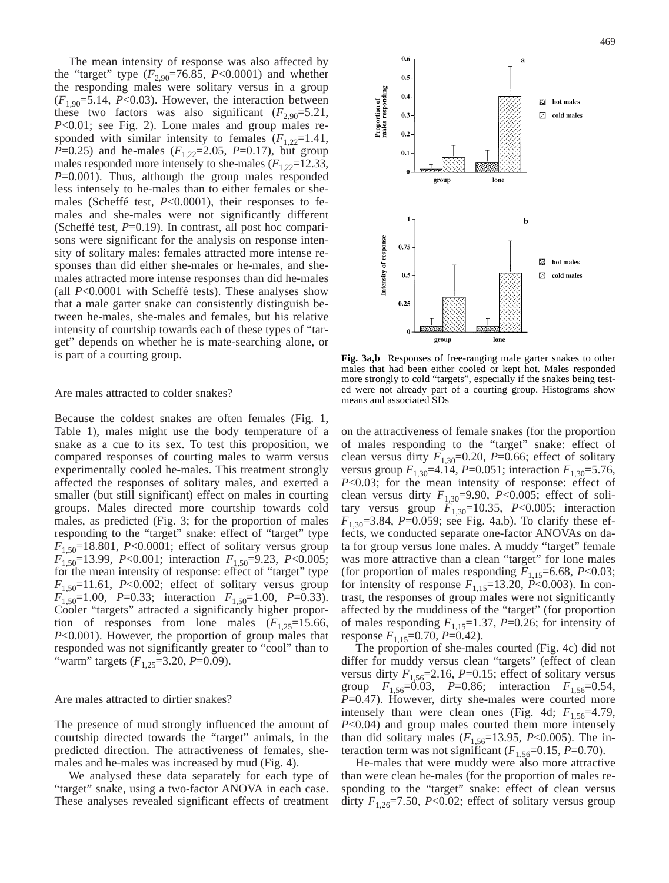The mean intensity of response was also affected by the "target" type  $(F_{2,90} = 76.85, P < 0.0001)$  and whether the responding males were solitary versus in a group  $(F_{1,90}=5.14, P<0.03)$ . However, the interaction between these two factors was also significant  $(F_{2,90}=5.21,$ *P*<0.01; see Fig. 2). Lone males and group males responded with similar intensity to females  $(F_{1,22}=1.41)$ ,  $P=0.25$ ) and he-males ( $F_{1,22}=2.05$ ,  $P=0.17$ ), but group males responded more intensely to she-males  $(F_{1,22}=12.33)$ , *P*=0.001). Thus, although the group males responded less intensely to he-males than to either females or shemales (Scheffé test, *P*<0.0001), their responses to females and she-males were not significantly different (Scheffé test, *P*=0.19). In contrast, all post hoc comparisons were significant for the analysis on response intensity of solitary males: females attracted more intense responses than did either she-males or he-males, and shemales attracted more intense responses than did he-males (all *P*<0.0001 with Scheffé tests). These analyses show that a male garter snake can consistently distinguish between he-males, she-males and females, but his relative intensity of courtship towards each of these types of "target" depends on whether he is mate-searching alone, or is part of a courting group.

## Are males attracted to colder snakes?

Because the coldest snakes are often females (Fig. 1, Table 1), males might use the body temperature of a snake as a cue to its sex. To test this proposition, we compared responses of courting males to warm versus experimentally cooled he-males. This treatment strongly affected the responses of solitary males, and exerted a smaller (but still significant) effect on males in courting groups. Males directed more courtship towards cold males, as predicted (Fig. 3; for the proportion of males responding to the "target" snake: effect of "target" type  $F_{1,50}$ =18.801, *P*<0.0001; effect of solitary versus group *F*1,50=13.99, *P*<0.001; interaction *F*1,50=9.23, *P*<0.005; for the mean intensity of response: effect of "target" type  $F_{1,50}=11.61$ , *P*<0.002; effect of solitary versus group *F*1,50=1.00, *P*=0.33; interaction *F*1,50=1.00, *P*=0.33). Cooler "targets" attracted a significantly higher proportion of responses from lone males  $(F_{1,25}=15.66,$ *P*<0.001). However, the proportion of group males that responded was not significantly greater to "cool" than to "warm" targets ( $F_{1,25}$ =3.20, *P*=0.09).

### Are males attracted to dirtier snakes?

The presence of mud strongly influenced the amount of courtship directed towards the "target" animals, in the predicted direction. The attractiveness of females, shemales and he-males was increased by mud (Fig. 4).

We analysed these data separately for each type of "target" snake, using a two-factor ANOVA in each case. These analyses revealed significant effects of treatment



**Fig. 3a,b** Responses of free-ranging male garter snakes to other males that had been either cooled or kept hot. Males responded more strongly to cold "targets", especially if the snakes being tested were not already part of a courting group. Histograms show means and associated SDs

on the attractiveness of female snakes (for the proportion of males responding to the "target" snake: effect of clean versus dirty  $F_{1,30}$ =0.20,  $P$ =0.66; effect of solitary versus group  $F_{1,30}$ =4.14, *P*=0.051; interaction  $F_{1,30}$ =5.76, *P*<0.03; for the mean intensity of response: effect of clean versus dirty  $F_{1,30}$ =9.90, *P*<0.005; effect of solitary versus group  $F_{1,30}$ =10.35,  $P$ <0.005; interaction  $F_{1,30}$ =3.84, *P*=0.059; see Fig. 4a,b). To clarify these effects, we conducted separate one-factor ANOVAs on data for group versus lone males. A muddy "target" female was more attractive than a clean "target" for lone males (for proportion of males responding  $F_{1,15}=6.68$ ,  $P<0.03$ ; for intensity of response  $F_{1,15}$ =13.20,  $P$ <0.003). In contrast, the responses of group males were not significantly affected by the muddiness of the "target" (for proportion of males responding  $F_{1,15}=1.37$ ,  $P=0.26$ ; for intensity of response  $F_{1,15}=0.70, P=0.42$ .

The proportion of she-males courted (Fig. 4c) did not differ for muddy versus clean "targets" (effect of clean versus dirty  $F_{1.56}$ =2.16, *P*=0.15; effect of solitary versus group  $F_{1,56}=0.03$ ,  $P=0.86$ ; interaction  $F_{1,56}=0.54$ , *P*=0.47). However, dirty she-males were courted more intensely than were clean ones (Fig. 4d;  $F_{1.56}$ =4.79, *P*<0.04) and group males courted them more intensely than did solitary males  $(F_{1,56}=13.95, P<0.005)$ . The interaction term was not significant  $(F_{1.56}=0.15, P=0.70)$ .

He-males that were muddy were also more attractive than were clean he-males (for the proportion of males responding to the "target" snake: effect of clean versus dirty  $F_{1,26}$ =7.50, *P*<0.02; effect of solitary versus group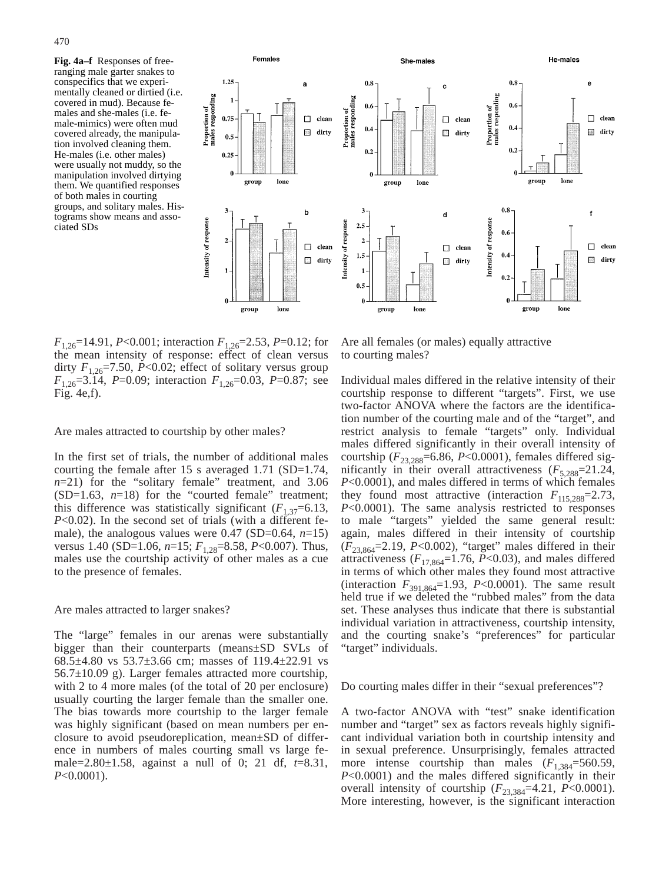**Fig. 4a–f** Responses of freeranging male garter snakes to conspecifics that we experimentally cleaned or dirtied (i.e. covered in mud). Because females and she-males (i.e. female-mimics) were often mud covered already, the manipulation involved cleaning them. He-males (i.e. other males) were usually not muddy, so the manipulation involved dirtying them. We quantified responses of both males in courting groups, and solitary males. Histograms show means and associated SDs



*F*1,26=14.91, *P*<0.001; interaction *F*1,26=2.53, *P*=0.12; for the mean intensity of response: effect of clean versus dirty  $F_{1,26}$ =7.50, *P*<0.02; effect of solitary versus group *F*<sub>1,26</sub>=3,14, *P*=0,09; interaction *F*<sub>1,26</sub>=0,03, *P*=0,87; see Fig. 4e,f).

Are males attracted to courtship by other males?

In the first set of trials, the number of additional males courting the female after 15 s averaged 1.71 (SD=1.74, *n*=21) for the "solitary female" treatment, and 3.06 (SD=1.63, *n*=18) for the "courted female" treatment; this difference was statistically significant  $(F_{1,37}=6.13,$ *P*<0.02). In the second set of trials (with a different female), the analogous values were 0.47 (SD=0.64, *n*=15) versus 1.40 (SD=1.06, *n*=15; *F*1,28=8.58, *P*<0.007). Thus, males use the courtship activity of other males as a cue to the presence of females.

Are males attracted to larger snakes?

The "large" females in our arenas were substantially bigger than their counterparts (means±SD SVLs of 68.5 $\pm$ 4.80 vs 53.7 $\pm$ 3.66 cm; masses of 119.4 $\pm$ 22.91 vs 56.7 $\pm$ 10.09 g). Larger females attracted more courtship, with 2 to 4 more males (of the total of 20 per enclosure) usually courting the larger female than the smaller one. The bias towards more courtship to the larger female was highly significant (based on mean numbers per enclosure to avoid pseudoreplication, mean±SD of difference in numbers of males courting small vs large female=2.80±1.58, against a null of 0; 21 df, *t*=8.31, *P*<0.0001).

Are all females (or males) equally attractive to courting males?

Individual males differed in the relative intensity of their courtship response to different "targets". First, we use two-factor ANOVA where the factors are the identification number of the courting male and of the "target", and restrict analysis to female "targets" only. Individual males differed significantly in their overall intensity of courtship  $(F_{23,288}=6.86, P<0.0001)$ , females differed significantly in their overall attractiveness  $(F_{5,288}=21.24,$ *P*<0.0001), and males differed in terms of which females they found most attractive (interaction  $F_{115,288}=2.73$ , *P*<0.0001). The same analysis restricted to responses to male "targets" yielded the same general result: again, males differed in their intensity of courtship  $(F_{23,864}=2.19, P<0.002)$ , "target" males differed in their attractiveness  $(F_{17,864}=1.76, P<0.03)$ , and males differed in terms of which other males they found most attractive (interaction  $F_{391,864}$ =1.93, *P*<0.0001). The same result held true if we deleted the "rubbed males" from the data set. These analyses thus indicate that there is substantial individual variation in attractiveness, courtship intensity, and the courting snake's "preferences" for particular "target" individuals.

Do courting males differ in their "sexual preferences"?

A two-factor ANOVA with "test" snake identification number and "target" sex as factors reveals highly significant individual variation both in courtship intensity and in sexual preference. Unsurprisingly, females attracted more intense courtship than males  $(F_{1,384}=560.59)$ , *P*<0.0001) and the males differed significantly in their overall intensity of courtship  $(F_{23,384}=4.21, P<0.0001)$ . More interesting, however, is the significant interaction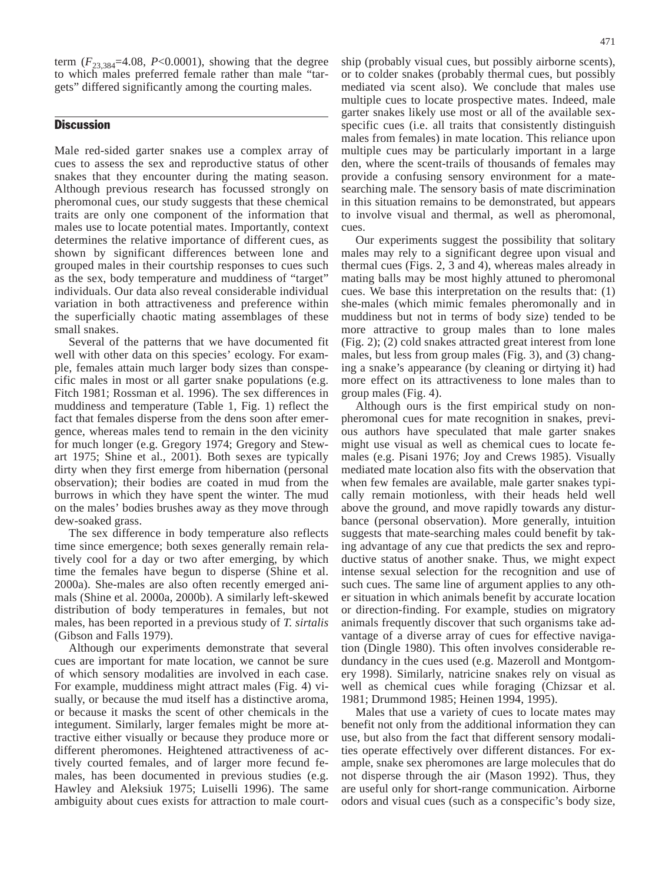term  $(F_{23,384}=4.08, P<0.0001)$ , showing that the degree to which males preferred female rather than male "targets" differed significantly among the courting males.

## **Discussion**

Male red-sided garter snakes use a complex array of cues to assess the sex and reproductive status of other snakes that they encounter during the mating season. Although previous research has focussed strongly on pheromonal cues, our study suggests that these chemical traits are only one component of the information that males use to locate potential mates. Importantly, context determines the relative importance of different cues, as shown by significant differences between lone and grouped males in their courtship responses to cues such as the sex, body temperature and muddiness of "target" individuals. Our data also reveal considerable individual variation in both attractiveness and preference within the superficially chaotic mating assemblages of these small snakes.

Several of the patterns that we have documented fit well with other data on this species' ecology. For example, females attain much larger body sizes than conspecific males in most or all garter snake populations (e.g. Fitch 1981; Rossman et al. 1996). The sex differences in muddiness and temperature (Table 1, Fig. 1) reflect the fact that females disperse from the dens soon after emergence, whereas males tend to remain in the den vicinity for much longer (e.g. Gregory 1974; Gregory and Stewart 1975; Shine et al., 2001). Both sexes are typically dirty when they first emerge from hibernation (personal observation); their bodies are coated in mud from the burrows in which they have spent the winter. The mud on the males' bodies brushes away as they move through dew-soaked grass.

The sex difference in body temperature also reflects time since emergence; both sexes generally remain relatively cool for a day or two after emerging, by which time the females have begun to disperse (Shine et al. 2000a). She-males are also often recently emerged animals (Shine et al. 2000a, 2000b). A similarly left-skewed distribution of body temperatures in females, but not males, has been reported in a previous study of *T. sirtalis* (Gibson and Falls 1979).

Although our experiments demonstrate that several cues are important for mate location, we cannot be sure of which sensory modalities are involved in each case. For example, muddiness might attract males (Fig. 4) visually, or because the mud itself has a distinctive aroma, or because it masks the scent of other chemicals in the integument. Similarly, larger females might be more attractive either visually or because they produce more or different pheromones. Heightened attractiveness of actively courted females, and of larger more fecund females, has been documented in previous studies (e.g. Hawley and Aleksiuk 1975; Luiselli 1996). The same ambiguity about cues exists for attraction to male court-

ship (probably visual cues, but possibly airborne scents), or to colder snakes (probably thermal cues, but possibly mediated via scent also). We conclude that males use multiple cues to locate prospective mates. Indeed, male garter snakes likely use most or all of the available sexspecific cues (i.e. all traits that consistently distinguish males from females) in mate location. This reliance upon multiple cues may be particularly important in a large den, where the scent-trails of thousands of females may provide a confusing sensory environment for a matesearching male. The sensory basis of mate discrimination in this situation remains to be demonstrated, but appears to involve visual and thermal, as well as pheromonal, cues.

Our experiments suggest the possibility that solitary males may rely to a significant degree upon visual and thermal cues (Figs. 2, 3 and 4), whereas males already in mating balls may be most highly attuned to pheromonal cues. We base this interpretation on the results that: (1) she-males (which mimic females pheromonally and in muddiness but not in terms of body size) tended to be more attractive to group males than to lone males (Fig. 2); (2) cold snakes attracted great interest from lone males, but less from group males (Fig. 3), and (3) changing a snake's appearance (by cleaning or dirtying it) had more effect on its attractiveness to lone males than to group males (Fig. 4).

Although ours is the first empirical study on nonpheromonal cues for mate recognition in snakes, previous authors have speculated that male garter snakes might use visual as well as chemical cues to locate females (e.g. Pisani 1976; Joy and Crews 1985). Visually mediated mate location also fits with the observation that when few females are available, male garter snakes typically remain motionless, with their heads held well above the ground, and move rapidly towards any disturbance (personal observation). More generally, intuition suggests that mate-searching males could benefit by taking advantage of any cue that predicts the sex and reproductive status of another snake. Thus, we might expect intense sexual selection for the recognition and use of such cues. The same line of argument applies to any other situation in which animals benefit by accurate location or direction-finding. For example, studies on migratory animals frequently discover that such organisms take advantage of a diverse array of cues for effective navigation (Dingle 1980). This often involves considerable redundancy in the cues used (e.g. Mazeroll and Montgomery 1998). Similarly, natricine snakes rely on visual as well as chemical cues while foraging (Chizsar et al. 1981; Drummond 1985; Heinen 1994, 1995).

Males that use a variety of cues to locate mates may benefit not only from the additional information they can use, but also from the fact that different sensory modalities operate effectively over different distances. For example, snake sex pheromones are large molecules that do not disperse through the air (Mason 1992). Thus, they are useful only for short-range communication. Airborne odors and visual cues (such as a conspecific's body size,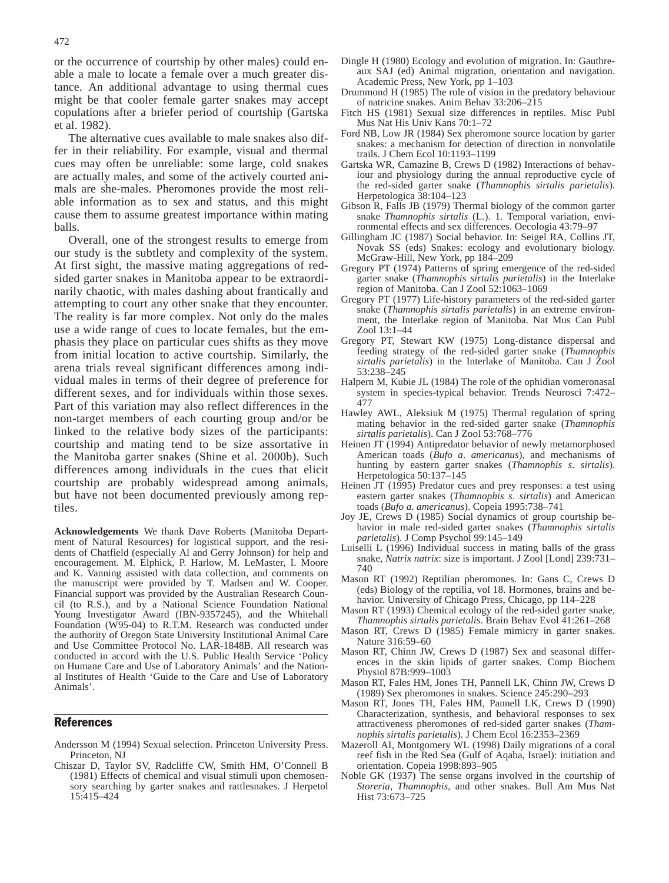or the occurrence of courtship by other males) could enable a male to locate a female over a much greater distance. An additional advantage to using thermal cues might be that cooler female garter snakes may accept copulations after a briefer period of courtship (Gartska et al. 1982).

The alternative cues available to male snakes also differ in their reliability. For example, visual and thermal cues may often be unreliable: some large, cold snakes are actually males, and some of the actively courted animals are she-males. Pheromones provide the most reliable information as to sex and status, and this might cause them to assume greatest importance within mating balls.

Overall, one of the strongest results to emerge from our study is the subtlety and complexity of the system. At first sight, the massive mating aggregations of redsided garter snakes in Manitoba appear to be extraordinarily chaotic, with males dashing about frantically and attempting to court any other snake that they encounter. The reality is far more complex. Not only do the males use a wide range of cues to locate females, but the emphasis they place on particular cues shifts as they move from initial location to active courtship. Similarly, the arena trials reveal significant differences among individual males in terms of their degree of preference for different sexes, and for individuals within those sexes. Part of this variation may also reflect differences in the non-target members of each courting group and/or be linked to the relative body sizes of the participants: courtship and mating tend to be size assortative in the Manitoba garter snakes (Shine et al. 2000b). Such differences among individuals in the cues that elicit courtship are probably widespread among animals, but have not been documented previously among reptiles.

**Acknowledgements** We thank Dave Roberts (Manitoba Department of Natural Resources) for logistical support, and the residents of Chatfield (especially Al and Gerry Johnson) for help and encouragement. M. Elphick, P. Harlow, M. LeMaster, I. Moore and K. Vanning assisted with data collection, and comments on the manuscript were provided by T. Madsen and W. Cooper. Financial support was provided by the Australian Research Council (to R.S.), and by a National Science Foundation National Young Investigator Award (IBN-9357245), and the Whitehall Foundation (W95-04) to R.T.M. Research was conducted under the authority of Oregon State University Institutional Animal Care and Use Committee Protocol No. LAR-1848B. All research was conducted in accord with the U.S. Public Health Service 'Policy on Humane Care and Use of Laboratory Animals' and the National Institutes of Health 'Guide to the Care and Use of Laboratory Animals'.

## References

- Andersson M (1994) Sexual selection. Princeton University Press. Princeton, NJ
- Chiszar D, Taylor SV, Radcliffe CW, Smith HM, O'Connell B (1981) Effects of chemical and visual stimuli upon chemosensory searching by garter snakes and rattlesnakes. J Herpetol 15:415–424
- Dingle H (1980) Ecology and evolution of migration. In: Gauthreaux SAJ (ed) Animal migration, orientation and navigation. Academic Press, New York, pp 1–103
- Drummond H (1985) The role of vision in the predatory behaviour of natricine snakes. Anim Behav 33:206–215
- Fitch HS (1981) Sexual size differences in reptiles. Misc Publ Mus Nat His Univ Kans 70:1–72
- Ford NB, Low JR (1984) Sex pheromone source location by garter snakes: a mechanism for detection of direction in nonvolatile trails. J Chem Ecol 10:1193–1199
- Gartska WR, Camazine B, Crews D (1982) Interactions of behaviour and physiology during the annual reproductive cycle of the red-sided garter snake (*Thamnophis sirtalis parietalis*). Herpetologica 38:104–123
- Gibson R, Falls JB (1979) Thermal biology of the common garter snake *Thamnophis sirtalis* (L.). 1. Temporal variation, environmental effects and sex differences. Oecologia 43:79–97
- Gillingham JC (1987) Social behavior. In: Seigel RA, Collins JT, Novak SS (eds) Snakes: ecology and evolutionary biology. McGraw-Hill, New York, pp 184–209
- Gregory PT (1974) Patterns of spring emergence of the red-sided garter snake (*Thamnophis sirtalis parietalis*) in the Interlake region of Manitoba. Can J Zool 52:1063–1069
- Gregory PT (1977) Life-history parameters of the red-sided garter snake (*Thamnophis sirtalis parietalis*) in an extreme environment, the Interlake region of Manitoba. Nat Mus Can Publ Zool 13:1–44
- Gregory PT, Stewart KW (1975) Long-distance dispersal and feeding strategy of the red-sided garter snake (*Thamnophis sirtalis parietalis*) in the Interlake of Manitoba. Can J Zool 53:238–245
- Halpern M, Kubie JL (1984) The role of the ophidian vomeronasal system in species-typical behavior. Trends Neurosci 7:472– 477
- Hawley AWL, Aleksiuk M (1975) Thermal regulation of spring mating behavior in the red-sided garter snake (*Thamnophis sirtalis parietalis*). Can J Zool 53:768–776
- Heinen JT (1994) Antipredator behavior of newly metamorphosed American toads (*Bufo a*. *americanus*), and mechanisms of hunting by eastern garter snakes (*Thamnophis s*. *sirtalis*). Herpetologica 50:137–145
- Heinen JT (1995) Predator cues and prey responses: a test using eastern garter snakes (*Thamnophis s*. *sirtalis*) and American toads (*Bufo a*. *americanus*). Copeia 1995:738–741
- Joy JE, Crews D (1985) Social dynamics of group courtship behavior in male red-sided garter snakes (*Thamnophis sirtalis parietalis*). J Comp Psychol 99:145–149
- Luiselli L (1996) Individual success in mating balls of the grass snake, *Natrix natrix*: size is important. J Zool [Lond] 239:731– 740
- Mason RT (1992) Reptilian pheromones. In: Gans C, Crews D (eds) Biology of the reptilia, vol 18. Hormones, brains and behavior. University of Chicago Press, Chicago, pp 114–228
- Mason RT (1993) Chemical ecology of the red-sided garter snake, *Thamnophis sirtalis parietalis*. Brain Behav Evol 41:261–268
- Mason RT, Crews D (1985) Female mimicry in garter snakes. Nature 316:59–60
- Mason RT, Chinn JW, Crews D (1987) Sex and seasonal differences in the skin lipids of garter snakes. Comp Biochem Physiol 87B:999–1003
- Mason RT, Fales HM, Jones TH, Pannell LK, Chinn JW, Crews D (1989) Sex pheromones in snakes. Science 245:290–293
- Mason RT, Jones TH, Fales HM, Pannell LK, Crews D (1990) Characterization, synthesis, and behavioral responses to sex attractiveness pheromones of red-sided garter snakes (*Thamnophis sirtalis parietalis*). J Chem Ecol 16:2353–2369
- Mazeroll AI, Montgomery WL (1998) Daily migrations of a coral reef fish in the Red Sea (Gulf of Aqaba, Israel): initiation and orientation. Copeia 1998:893–905
- Noble GK (1937) The sense organs involved in the courtship of *Storeria*, *Thamnophis*, and other snakes. Bull Am Mus Nat Hist 73:673–725